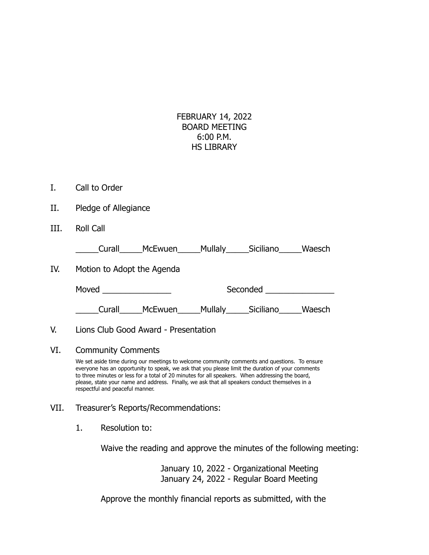## FEBRUARY 14, 2022 BOARD MEETING 6:00 P.M. HS LIBRARY

- I. Call to Order
- II. Pledge of Allegiance
- III. Roll Call

\_\_\_\_\_Curall\_\_\_\_\_McEwuen\_\_\_\_\_Mullaly\_\_\_\_\_Siciliano\_\_\_\_\_Waesch

IV. Motion to Adopt the Agenda

Moved \_\_\_\_\_\_\_\_\_\_\_\_\_\_\_ Seconded \_\_\_\_\_\_\_\_\_\_\_\_\_\_\_ \_\_\_\_\_Curall\_\_\_\_\_McEwuen\_\_\_\_\_Mullaly\_\_\_\_\_Siciliano\_\_\_\_\_Waesch

## V. Lions Club Good Award - Presentation

## VI. Community Comments

We set aside time during our meetings to welcome community comments and questions. To ensure everyone has an opportunity to speak, we ask that you please limit the duration of your comments to three minutes or less for a total of 20 minutes for all speakers. When addressing the board, please, state your name and address. Finally, we ask that all speakers conduct themselves in a respectful and peaceful manner.

- VII. Treasurer's Reports/Recommendations:
	- 1. Resolution to:

Waive the reading and approve the minutes of the following meeting:

January 10, 2022 - Organizational Meeting January 24, 2022 - Regular Board Meeting

Approve the monthly financial reports as submitted, with the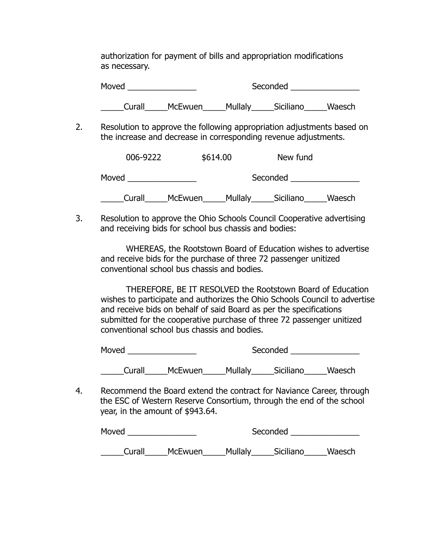authorization for payment of bills and appropriation modifications as necessary.

Moved \_\_\_\_\_\_\_\_\_\_\_\_\_\_\_ Seconded \_\_\_\_\_\_\_\_\_\_\_\_\_\_\_ \_\_\_\_\_Curall\_\_\_\_\_McEwuen\_\_\_\_\_Mullaly\_\_\_\_\_Siciliano\_\_\_\_\_Waesch

2. Resolution to approve the following appropriation adjustments based on the increase and decrease in corresponding revenue adjustments.

| 006-9222 |         | \$614.00<br>New fund |           |        |
|----------|---------|----------------------|-----------|--------|
| Moved    |         |                      | Seconded  |        |
| Curall   | McEwuen | Mullaly              | Siciliano | Waesch |

3. Resolution to approve the Ohio Schools Council Cooperative advertising and receiving bids for school bus chassis and bodies:

WHEREAS, the Rootstown Board of Education wishes to advertise and receive bids for the purchase of three 72 passenger unitized conventional school bus chassis and bodies.

THEREFORE, BE IT RESOLVED the Rootstown Board of Education wishes to participate and authorizes the Ohio Schools Council to advertise and receive bids on behalf of said Board as per the specifications submitted for the cooperative purchase of three 72 passenger unitized conventional school bus chassis and bodies.

| Moved  |         | Seconded |           |        |  |
|--------|---------|----------|-----------|--------|--|
| Curall | McEwuen | Mullaly  | Siciliano | Waesch |  |

4. Recommend the Board extend the contract for Naviance Career, through the ESC of Western Reserve Consortium, through the end of the school year, in the amount of \$943.64.

| Moved  |                | Seconded |           |        |
|--------|----------------|----------|-----------|--------|
| Curall | <b>McEwuen</b> | Mullaly  | Siciliano | Waesch |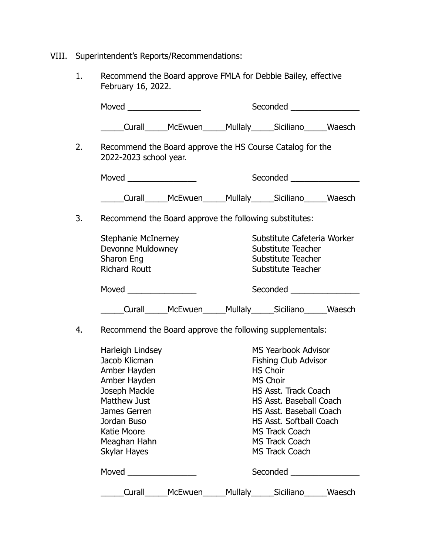- VIII. Superintendent's Reports/Recommendations:
	- 1. Recommend the Board approve FMLA for Debbie Bailey, effective February 16, 2022.

| Moved _________________                                                                                                                                                                 |         | Seconded <u>______________</u>                                                                                                                                                                                                                                        |                          |               |
|-----------------------------------------------------------------------------------------------------------------------------------------------------------------------------------------|---------|-----------------------------------------------------------------------------------------------------------------------------------------------------------------------------------------------------------------------------------------------------------------------|--------------------------|---------------|
| _____Curall______McEwuen______Mullaly______Siciliano______Waesch                                                                                                                        |         |                                                                                                                                                                                                                                                                       |                          |               |
| Recommend the Board approve the HS Course Catalog for the<br>2022-2023 school year.                                                                                                     |         |                                                                                                                                                                                                                                                                       |                          |               |
| Seconded ________________                                                                                                                                                               |         |                                                                                                                                                                                                                                                                       |                          |               |
| _____Curall______McEwuen______Mullaly______Siciliano______Waesch                                                                                                                        |         |                                                                                                                                                                                                                                                                       |                          |               |
| Recommend the Board approve the following substitutes:                                                                                                                                  |         |                                                                                                                                                                                                                                                                       |                          |               |
| <b>Stephanie McInerney</b><br>Devonne Muldowney<br>Sharon Eng<br><b>Richard Routt</b>                                                                                                   |         | Substitute Cafeteria Worker<br>Substitute Teacher<br>Substitute Teacher<br>Substitute Teacher                                                                                                                                                                         |                          |               |
|                                                                                                                                                                                         |         |                                                                                                                                                                                                                                                                       |                          |               |
| _____Curall______McEwuen______Mullaly______Siciliano______Waesch                                                                                                                        |         |                                                                                                                                                                                                                                                                       |                          |               |
| Recommend the Board approve the following supplementals:                                                                                                                                |         |                                                                                                                                                                                                                                                                       |                          |               |
| Harleigh Lindsey<br>Jacob Klicman<br>Amber Hayden<br>Amber Hayden<br>Joseph Mackle<br><b>Matthew Just</b><br>James Gerren<br>Jordan Buso<br>Katie Moore<br>Meaghan Hahn<br>Skylar Hayes |         | MS Yearbook Advisor<br><b>Fishing Club Advisor</b><br><b>HS Choir</b><br>MS Choir<br>HS Asst. Track Coach<br>HS Asst. Baseball Coach<br>HS Asst. Baseball Coach<br>HS Asst. Softball Coach<br><b>MS Track Coach</b><br><b>MS Track Coach</b><br><b>MS Track Coach</b> |                          |               |
|                                                                                                                                                                                         |         |                                                                                                                                                                                                                                                                       | <b>Seconded Seconded</b> |               |
| Curall                                                                                                                                                                                  | McEwuen |                                                                                                                                                                                                                                                                       | Mullaly______Siciliano_  | <b>Waesch</b> |